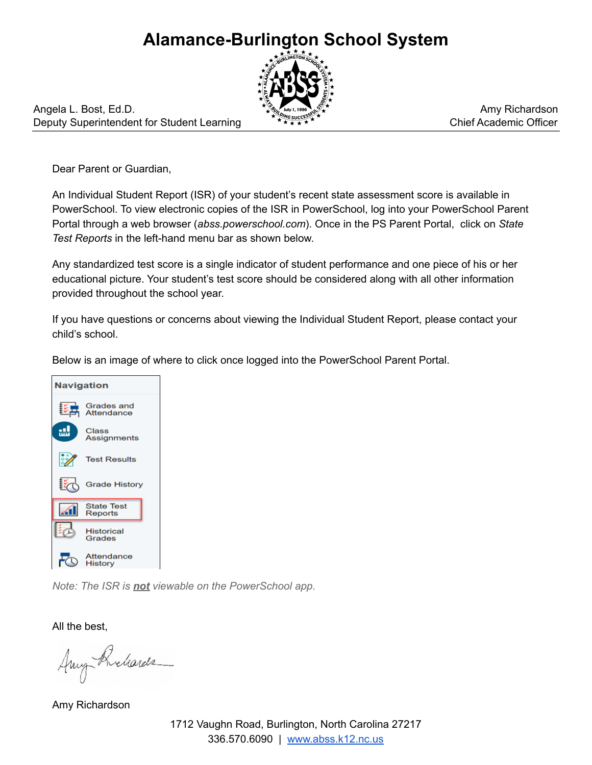## **Alamance-Burlington School System**



Angela L. Bost, Ed.D. Deputy Superintendent for Student Learning

Amy Richardson Chief Academic Officer

Dear Parent or Guardian,

An Individual Student Report (ISR) of your student's recent state assessment score is available in PowerSchool. To view electronic copies of the ISR in PowerSchool, log into your PowerSchool Parent Portal through a web browser (*abss.powerschool.com*). Once in the PS Parent Portal, click on *State Test Reports* in the left-hand menu bar as shown below.

Any standardized test score is a single indicator of student performance and one piece of his or her educational picture. Your student's test score should be considered along with all other information provided throughout the school year.

If you have questions or concerns about viewing the Individual Student Report, please contact your child's school.

Below is an image of where to click once logged into the PowerSchool Parent Portal.



*Note: The ISR is not viewable on the PowerSchool app.*

All the best,

Any Richards

Amy Richardson

1712 Vaughn Road, Burlington, North Carolina 27217 336.570.6090 | [www.abss.k12.nc.us](http://www.abss.k12.nc.us/)